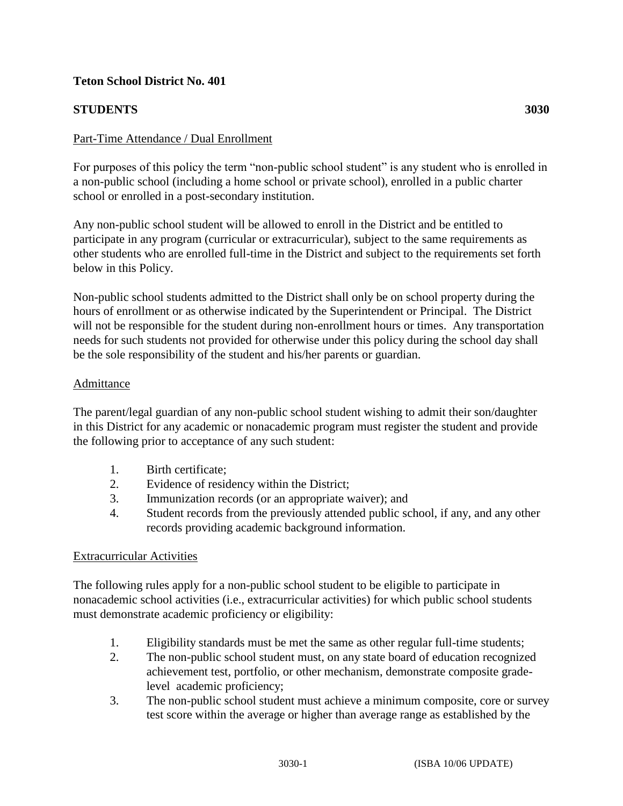# **Teton School District No. 401**

# **STUDENTS 3030**

### Part-Time Attendance / Dual Enrollment

For purposes of this policy the term "non-public school student" is any student who is enrolled in a non-public school (including a home school or private school), enrolled in a public charter school or enrolled in a post-secondary institution.

Any non-public school student will be allowed to enroll in the District and be entitled to participate in any program (curricular or extracurricular), subject to the same requirements as other students who are enrolled full-time in the District and subject to the requirements set forth below in this Policy.

Non-public school students admitted to the District shall only be on school property during the hours of enrollment or as otherwise indicated by the Superintendent or Principal. The District will not be responsible for the student during non-enrollment hours or times. Any transportation needs for such students not provided for otherwise under this policy during the school day shall be the sole responsibility of the student and his/her parents or guardian.

#### Admittance

The parent/legal guardian of any non-public school student wishing to admit their son/daughter in this District for any academic or nonacademic program must register the student and provide the following prior to acceptance of any such student:

- 1. Birth certificate;
- 2. Evidence of residency within the District;
- 3. Immunization records (or an appropriate waiver); and
- 4. Student records from the previously attended public school, if any, and any other records providing academic background information.

#### Extracurricular Activities

The following rules apply for a non-public school student to be eligible to participate in nonacademic school activities (i.e., extracurricular activities) for which public school students must demonstrate academic proficiency or eligibility:

- 1. Eligibility standards must be met the same as other regular full-time students;
- 2. The non-public school student must, on any state board of education recognized achievement test, portfolio, or other mechanism, demonstrate composite gradelevel academic proficiency;
- 3. The non-public school student must achieve a minimum composite, core or survey test score within the average or higher than average range as established by the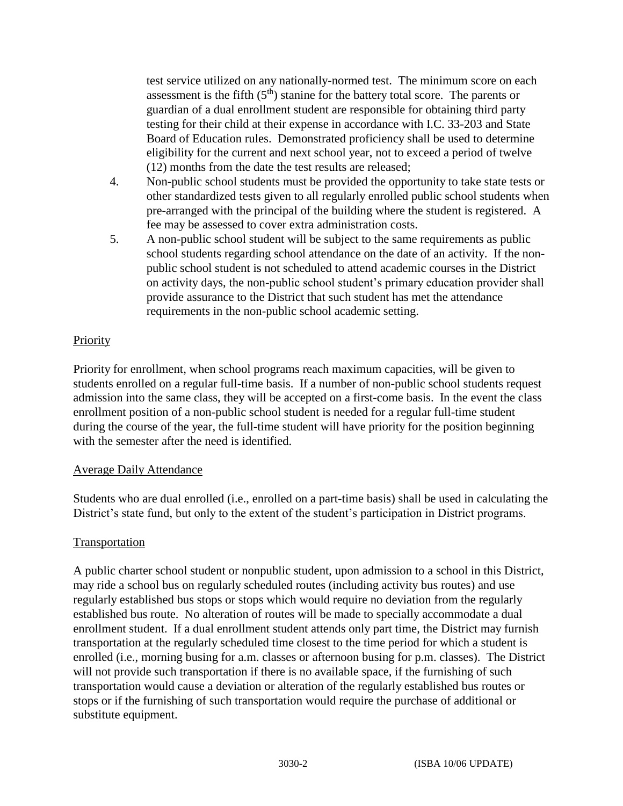test service utilized on any nationally-normed test. The minimum score on each assessment is the fifth  $(5<sup>th</sup>)$  stanine for the battery total score. The parents or guardian of a dual enrollment student are responsible for obtaining third party testing for their child at their expense in accordance with I.C. 33-203 and State Board of Education rules. Demonstrated proficiency shall be used to determine eligibility for the current and next school year, not to exceed a period of twelve (12) months from the date the test results are released;

- 4. Non-public school students must be provided the opportunity to take state tests or other standardized tests given to all regularly enrolled public school students when pre-arranged with the principal of the building where the student is registered. A fee may be assessed to cover extra administration costs.
- 5. A non-public school student will be subject to the same requirements as public school students regarding school attendance on the date of an activity. If the nonpublic school student is not scheduled to attend academic courses in the District on activity days, the non-public school student's primary education provider shall provide assurance to the District that such student has met the attendance requirements in the non-public school academic setting.

# **Priority**

Priority for enrollment, when school programs reach maximum capacities, will be given to students enrolled on a regular full-time basis. If a number of non-public school students request admission into the same class, they will be accepted on a first-come basis. In the event the class enrollment position of a non-public school student is needed for a regular full-time student during the course of the year, the full-time student will have priority for the position beginning with the semester after the need is identified.

# Average Daily Attendance

Students who are dual enrolled (i.e., enrolled on a part-time basis) shall be used in calculating the District's state fund, but only to the extent of the student's participation in District programs.

# Transportation

A public charter school student or nonpublic student, upon admission to a school in this District, may ride a school bus on regularly scheduled routes (including activity bus routes) and use regularly established bus stops or stops which would require no deviation from the regularly established bus route. No alteration of routes will be made to specially accommodate a dual enrollment student. If a dual enrollment student attends only part time, the District may furnish transportation at the regularly scheduled time closest to the time period for which a student is enrolled (i.e., morning busing for a.m. classes or afternoon busing for p.m. classes). The District will not provide such transportation if there is no available space, if the furnishing of such transportation would cause a deviation or alteration of the regularly established bus routes or stops or if the furnishing of such transportation would require the purchase of additional or substitute equipment.